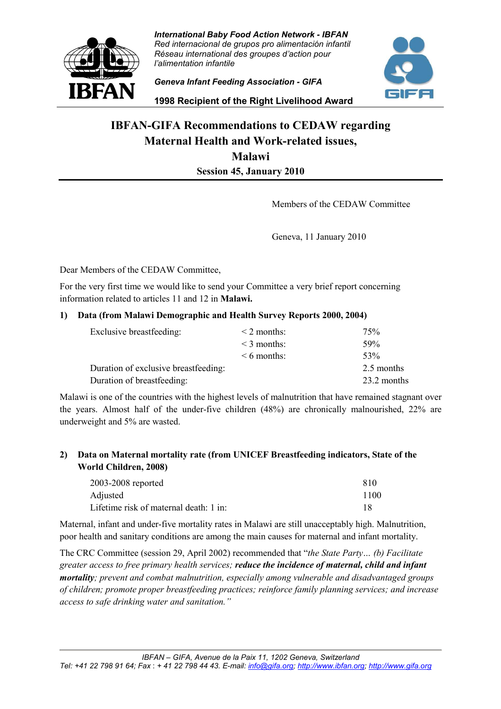

*International Baby Food Action Network - IBFAN Red internacional de grupos pro alimentación infantil Réseau international des groupes d'action pour l'alimentation infantile*

*Geneva Infant Feeding Association - GIFA* 



**1998 Recipient of the Right Livelihood Award**

# **IBFAN-GIFA Recommendations to CEDAW regarding Maternal Health and Work-related issues, Malawi Session 45, January 2010**

Members of the CEDAW Committee

Geneva, 11 January 2010

Dear Members of the CEDAW Committee,

For the very first time we would like to send your Committee a very brief report concerning information related to articles 11 and 12 in **Malawi.**

#### **1) Data (from Malawi Demographic and Health Survey Reports 2000, 2004)**

| Exclusive breastfeeding:             | $\leq$ 2 months: | 75%         |
|--------------------------------------|------------------|-------------|
|                                      | $\leq$ 3 months: | 59%         |
|                                      | $\leq 6$ months: | 53%         |
| Duration of exclusive breastfeeding: |                  | 2.5 months  |
| Duration of breastfeeding:           |                  | 23.2 months |

Malawi is one of the countries with the highest levels of malnutrition that have remained stagnant over the years. Almost half of the under-five children (48%) are chronically malnourished, 22% are underweight and 5% are wasted.

### **2) Data on Maternal mortality rate (from UNICEF Breastfeeding indicators, State of the World Children, 2008)**

| 2003-2008 reported                     | 810  |
|----------------------------------------|------|
| Adjusted                               | 1100 |
| Lifetime risk of maternal death: 1 in: |      |

Maternal, infant and under-five mortality rates in Malawi are still unacceptably high. Malnutrition, poor health and sanitary conditions are among the main causes for maternal and infant mortality.

The CRC Committee (session 29, April 2002) recommended that "*the State Party… (b) Facilitate greater access to free primary health services; reduce the incidence of maternal, child and infant mortality; prevent and combat malnutrition, especially among vulnerable and disadvantaged groups of children; promote proper breastfeeding practices; reinforce family planning services; and increase access to safe drinking water and sanitation."*